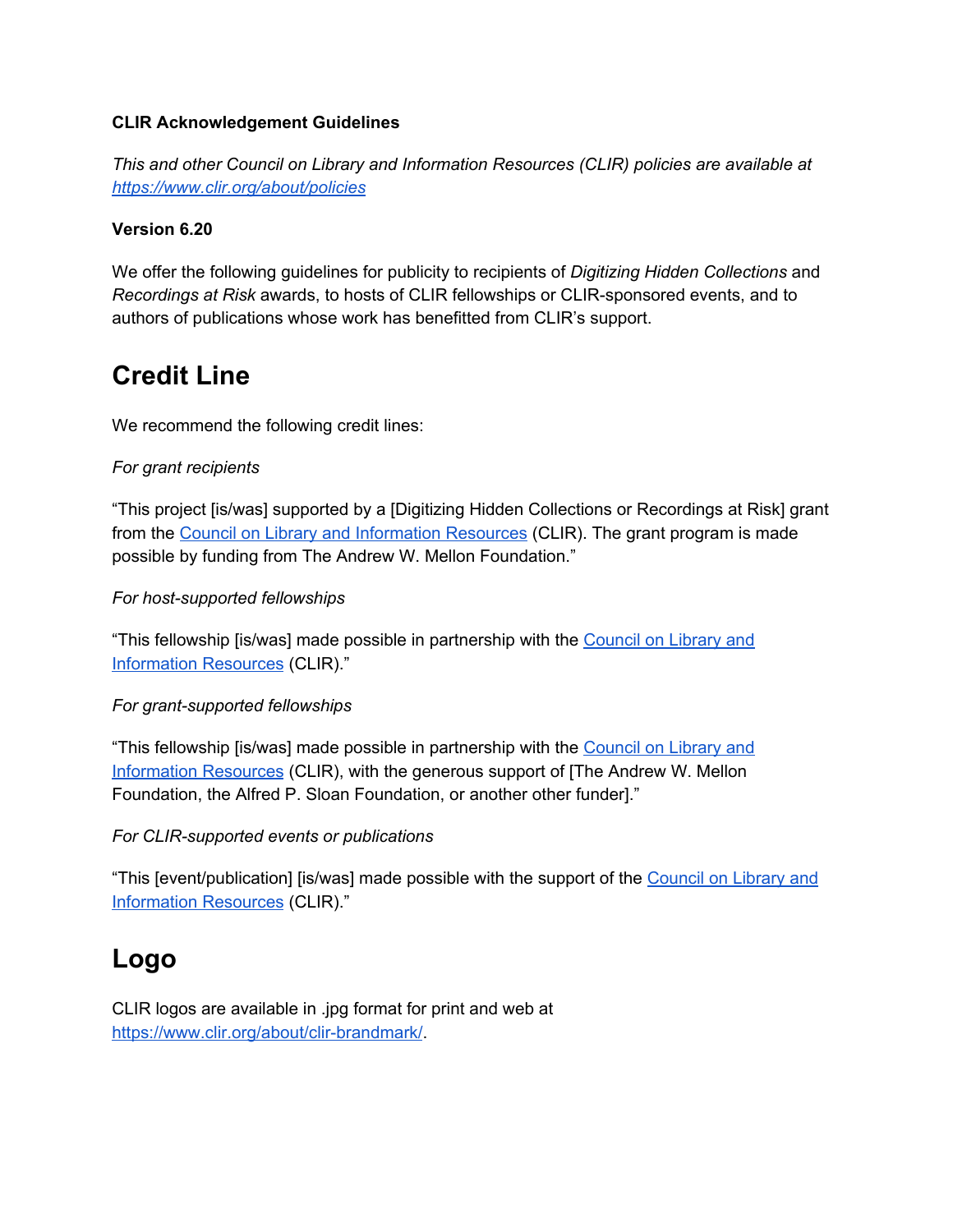### **CLIR Acknowledgement Guidelines**

*This and other Council on Library and Information Resources (CLIR) policies are available at <https://www.clir.org/about/policies>*

### **Version 6.20**

We offer the following guidelines for publicity to recipients of *Digitizing Hidden Collections* and *Recordings at Risk* awards, to hosts of CLIR fellowships or CLIR-sponsored events, and to authors of publications whose work has benefitted from CLIR's support.

## **Credit Line**

We recommend the following credit lines:

### *For grant recipients*

"This project [is/was] supported by a [Digitizing Hidden Collections or Recordings at Risk] grant from the Council on Library and [Information](https://www.clir.org/) Resources (CLIR). The grant program is made possible by funding from The Andrew W. Mellon Foundation."

### *For host-supported fellowships*

"This fellowship [is/was] made possible in partnership with the [Council](https://www.clir.org/) on Library and [Information](https://www.clir.org/) Resources (CLIR)."

#### *For grant-supported fellowships*

"This fellowship [is/was] made possible in partnership with the [Council](https://www.clir.org/) on Library and [Information](https://www.clir.org/) Resources (CLIR), with the generous support of [The Andrew W. Mellon Foundation, the Alfred P. Sloan Foundation, or another other funder]."

#### *For CLIR-supported events or publications*

"This [event/publication] [is/was] made possible with the support of the [Council](https://www.clir.org/) on Library and [Information](https://www.clir.org/) Resources (CLIR)."

## **Logo**

CLIR logos are available in .jpg format for print and web at [https://www.clir.org/about/clir-brandmark/.](https://www.clir.org/about/clir-brandmark/)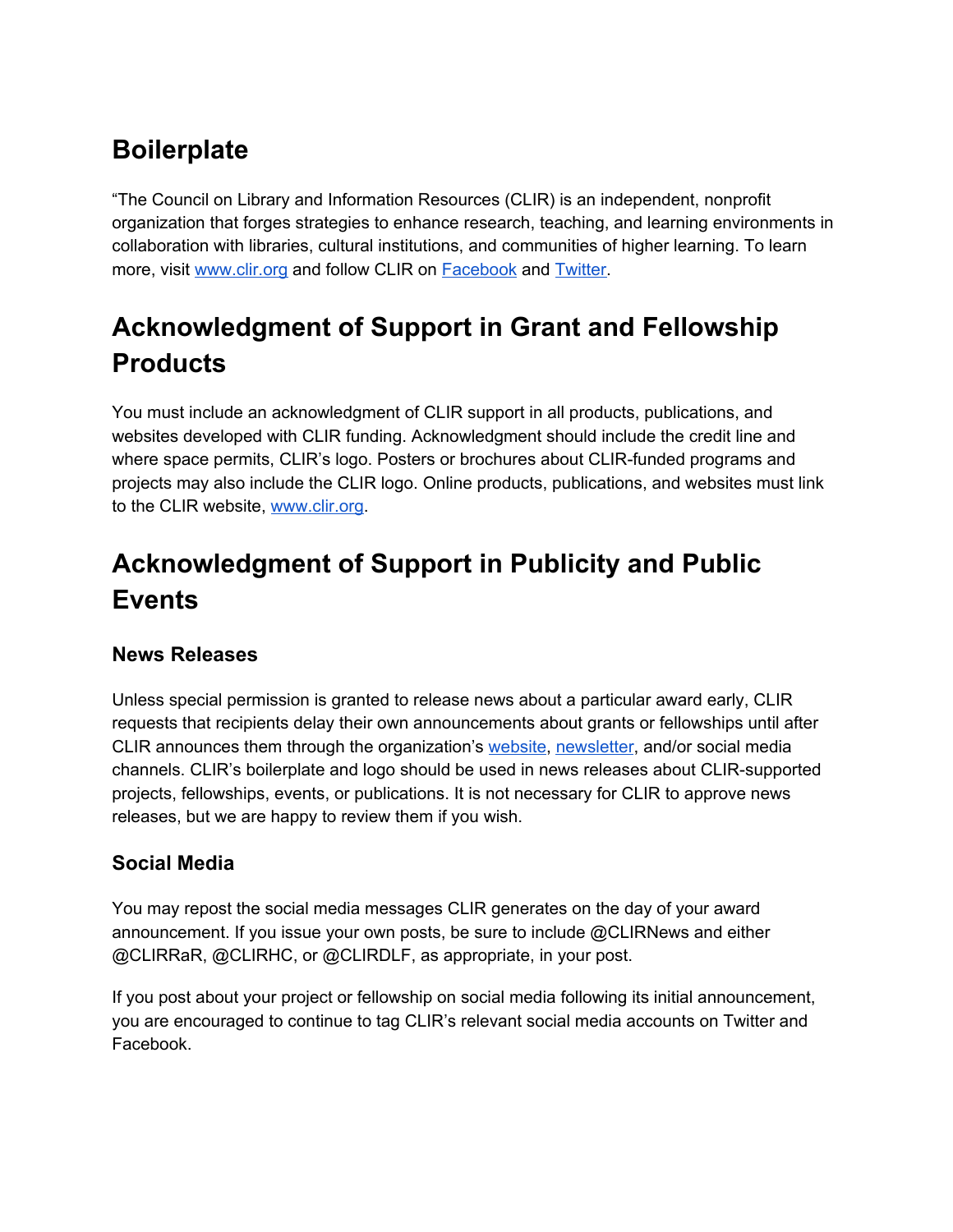## **Boilerplate**

"The Council on Library and Information Resources (CLIR) is an independent, nonprofit organization that forges strategies to enhance research, teaching, and learning environments in collaboration with libraries, cultural institutions, and communities of higher learning. To learn more, visit [www.clir.org](https://www.clir.org/) and follow CLIR on [Facebook](https://www.facebook.com/Council-on-Library-and-Information-Resources-CLIR-300100435096/) and [Twitter.](https://twitter.com/CLIRnews)

# **Acknowledgment of Support in Grant and Fellowship Products**

You must include an acknowledgment of CLIR support in all products, publications, and websites developed with CLIR funding. Acknowledgment should include the credit line and where space permits, CLIR's logo. Posters or brochures about CLIR-funded programs and projects may also include the CLIR logo. Online products, publications, and websites must link to the CLIR website, [www.clir.org.](https://www.clir.org/)

# **Acknowledgment of Support in Publicity and Public Events**

## **News Releases**

Unless special permission is granted to release news about a particular award early, CLIR requests that recipients delay their own announcements about grants or fellowships until after CLIR announces them through the organization's [website](https://www.clir.org/), [newsletter](https://www.clir.org/pubs/issues/), and/or social media channels. CLIR's boilerplate and logo should be used in news releases about CLIR-supported projects, fellowships, events, or publications. It is not necessary for CLIR to approve news releases, but we are happy to review them if you wish.

## **Social Media**

You may repost the social media messages CLIR generates on the day of your award announcement. If you issue your own posts, be sure to include @CLIRNews and either @CLIRRaR, @CLIRHC, or @CLIRDLF, as appropriate, in your post.

If you post about your project or fellowship on social media following its initial announcement, you are encouraged to continue to tag CLIR's relevant social media accounts on Twitter and Facebook.